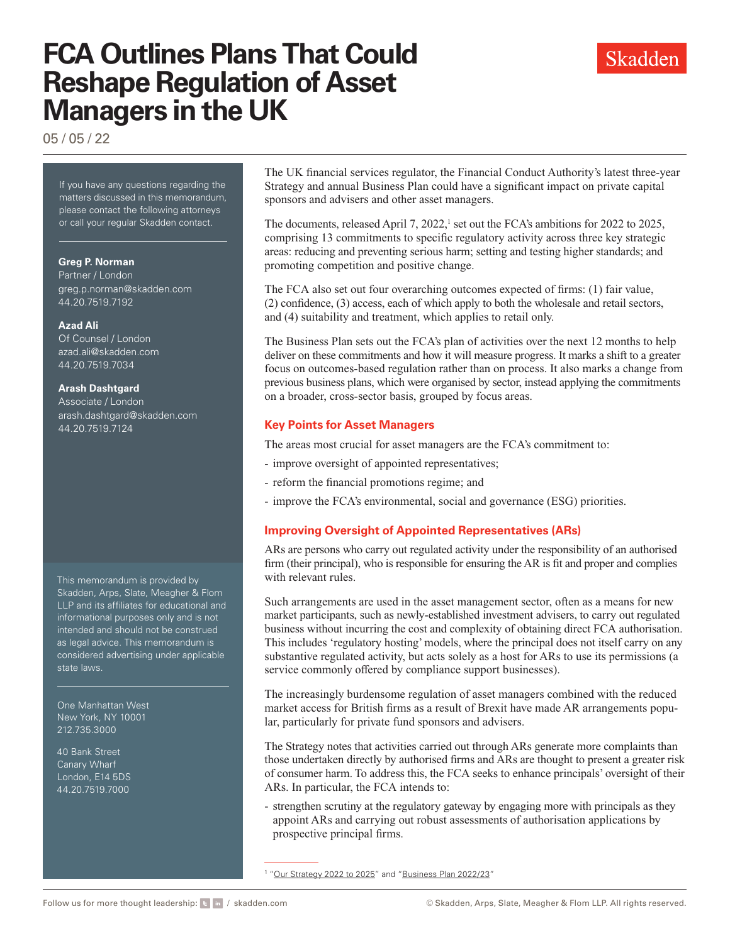# **FCA Outlines Plans That Could Reshape Regulation of Asset Managers in the UK**



05 / 05 / 22

If you have any questions regarding the matters discussed in this memorandum, please contact the following attorneys or call your regular Skadden contact.

#### **Greg P. Norman**

Partner / London g[reg.p.norman@skadden.com](mailto:greg.p.norman@skadden.com
) 44.20.7519.7192

#### **Azad Ali**

Of Counsel / London [azad.ali@skadden.com](mailto:azad.ali@skadden.com
) 44.20.7519.7034

#### **Arash Dashtgard**

Associate / London [arash.dashtgard@skadden.com](mailto:arash.dashtgard@skadden.com
) 44.20.7519.7124

This memorandum is provided by Skadden, Arps, Slate, Meagher & Flom LLP and its affiliates for educational and informational purposes only and is not intended and should not be construed as legal advice. This memorandum is considered advertising under applicable state laws.

One Manhattan West New York, NY 10001 212.735.3000

40 Bank Street Canary Wharf London, E14 5DS 44.20.7519.7000

The UK financial services regulator, the Financial Conduct Authority's latest three-year Strategy and annual Business Plan could have a significant impact on private capital sponsors and advisers and other asset managers.

The documents, released April 7, 2022, $\frac{1}{2}$  set out the FCA's ambitions for 2022 to 2025, comprising 13 commitments to specific regulatory activity across three key strategic areas: reducing and preventing serious harm; setting and testing higher standards; and promoting competition and positive change.

The FCA also set out four overarching outcomes expected of firms: (1) fair value, (2) confidence, (3) access, each of which apply to both the wholesale and retail sectors, and (4) suitability and treatment, which applies to retail only.

The Business Plan sets out the FCA's plan of activities over the next 12 months to help deliver on these commitments and how it will measure progress. It marks a shift to a greater focus on outcomes-based regulation rather than on process. It also marks a change from previous business plans, which were organised by sector, instead applying the commitments on a broader, cross-sector basis, grouped by focus areas.

## **Key Points for Asset Managers**

The areas most crucial for asset managers are the FCA's commitment to:

- improve oversight of appointed representatives;
- reform the financial promotions regime; and
- improve the FCA's environmental, social and governance (ESG) priorities.

## **Improving Oversight of Appointed Representatives (ARs)**

ARs are persons who carry out regulated activity under the responsibility of an authorised firm (their principal), who is responsible for ensuring the AR is fit and proper and complies with relevant rules.

Such arrangements are used in the asset management sector, often as a means for new market participants, such as newly-established investment advisers, to carry out regulated business without incurring the cost and complexity of obtaining direct FCA authorisation. This includes 'regulatory hosting' models, where the principal does not itself carry on any substantive regulated activity, but acts solely as a host for ARs to use its permissions (a service commonly offered by compliance support businesses).

The increasingly burdensome regulation of asset managers combined with the reduced market access for British firms as a result of Brexit have made AR arrangements popular, particularly for private fund sponsors and advisers.

The Strategy notes that activities carried out through ARs generate more complaints than those undertaken directly by authorised firms and ARs are thought to present a greater risk of consumer harm. To address this, the FCA seeks to enhance principals' oversight of their ARs. In particular, the FCA intends to:

- strengthen scrutiny at the regulatory gateway by engaging more with principals as they appoint ARs and carrying out robust assessments of authorisation applications by prospective principal firms.

<sup>1</sup> "[Our Strategy 2022 to 2025](https://www.skadden.com/-/media/files/publications/2022/05/fca-outlines-plans-that-could-reshape-regulation-of-asset-managers-in-the-uk/our_strategy_2022_25.pdf)" and "[Business Plan 2022/23"](https://www.fca.org.uk/publications/business-plans/2022-23)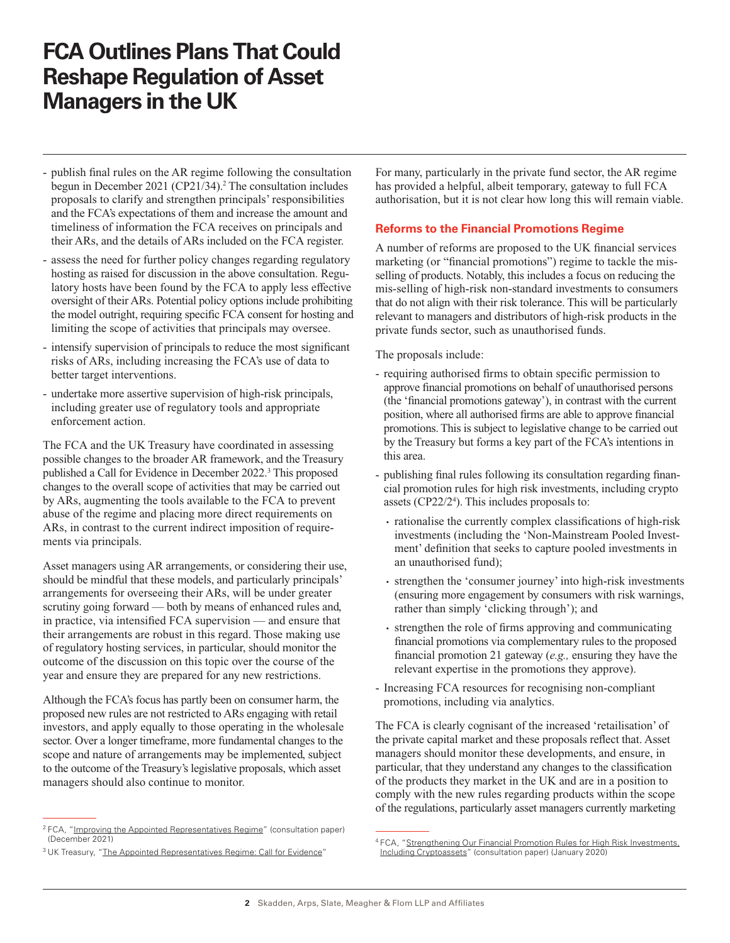# **FCA Outlines Plans That Could Reshape Regulation of Asset Managers in the UK**

- publish final rules on the AR regime following the consultation begun in December 2021 (CP21/34).<sup>2</sup> The consultation includes proposals to clarify and strengthen principals' responsibilities and the FCA's expectations of them and increase the amount and timeliness of information the FCA receives on principals and their ARs, and the details of ARs included on the FCA register.
- assess the need for further policy changes regarding regulatory hosting as raised for discussion in the above consultation. Regulatory hosts have been found by the FCA to apply less effective oversight of their ARs. Potential policy options include prohibiting the model outright, requiring specific FCA consent for hosting and limiting the scope of activities that principals may oversee.
- intensify supervision of principals to reduce the most significant risks of ARs, including increasing the FCA's use of data to better target interventions.
- undertake more assertive supervision of high-risk principals, including greater use of regulatory tools and appropriate enforcement action.

The FCA and the UK Treasury have coordinated in assessing possible changes to the broader AR framework, and the Treasury published a Call for Evidence in December 2022.<sup>3</sup> This proposed changes to the overall scope of activities that may be carried out by ARs, augmenting the tools available to the FCA to prevent abuse of the regime and placing more direct requirements on ARs, in contrast to the current indirect imposition of requirements via principals.

Asset managers using AR arrangements, or considering their use, should be mindful that these models, and particularly principals' arrangements for overseeing their ARs, will be under greater scrutiny going forward — both by means of enhanced rules and, in practice, via intensified FCA supervision — and ensure that their arrangements are robust in this regard. Those making use of regulatory hosting services, in particular, should monitor the outcome of the discussion on this topic over the course of the year and ensure they are prepared for any new restrictions.

Although the FCA's focus has partly been on consumer harm, the proposed new rules are not restricted to ARs engaging with retail investors, and apply equally to those operating in the wholesale sector. Over a longer timeframe, more fundamental changes to the scope and nature of arrangements may be implemented, subject to the outcome of the Treasury's legislative proposals, which asset managers should also continue to monitor.

For many, particularly in the private fund sector, the AR regime has provided a helpful, albeit temporary, gateway to full FCA authorisation, but it is not clear how long this will remain viable.

#### **Reforms to the Financial Promotions Regime**

A number of reforms are proposed to the UK financial services marketing (or "financial promotions") regime to tackle the misselling of products. Notably, this includes a focus on reducing the mis-selling of high-risk non-standard investments to consumers that do not align with their risk tolerance. This will be particularly relevant to managers and distributors of high-risk products in the private funds sector, such as unauthorised funds.

The proposals include:

- requiring authorised firms to obtain specific permission to approve financial promotions on behalf of unauthorised persons (the 'financial promotions gateway'), in contrast with the current position, where all authorised firms are able to approve financial promotions. This is subject to legislative change to be carried out by the Treasury but forms a key part of the FCA's intentions in this area.
- publishing final rules following its consultation regarding financial promotion rules for high risk investments, including crypto assets (CP22/2<sup>4</sup>). This includes proposals to:
	- rationalise the currently complex classifications of high-risk investments (including the 'Non-Mainstream Pooled Investment' definition that seeks to capture pooled investments in an unauthorised fund);
	- strengthen the 'consumer journey' into high-risk investments (ensuring more engagement by consumers with risk warnings, rather than simply 'clicking through'); and
	- strengthen the role of firms approving and communicating financial promotions via complementary rules to the proposed financial promotion 21 gateway (*e.g.,* ensuring they have the relevant expertise in the promotions they approve).
- Increasing FCA resources for recognising non-compliant promotions, including via analytics.

The FCA is clearly cognisant of the increased 'retailisation' of the private capital market and these proposals reflect that. Asset managers should monitor these developments, and ensure, in particular, that they understand any changes to the classification of the products they market in the UK and are in a position to comply with the new rules regarding products within the scope of the regulations, particularly asset managers currently marketing

<sup>&</sup>lt;sup>2</sup> FCA, "[Improving the Appointed Representatives Regime"](https://www.skadden.com/-/media/files/publications/2022/05/fca-outlines-plans-that-could-reshape-regulation-of-asset-managers-in-the-uk/improving_the_appointed_representatives_regime.pdf) (consultation paper) (December 2021)

<sup>&</sup>lt;sup>3</sup> UK Treasury, ["The Appointed Representatives Regime: Call for Evidence](https://www.skadden.com/-/media/files/publications/2022/05/fca-outlines-plans-that-could-reshape-regulation-of-asset-managers-in-the-uk/the_appointed_representatives_regime_call_for_evidence.pdf)"

<sup>4</sup> FCA, "[Strengthening Our Financial Promotion Rules for High Risk Investments,](https://www.skadden.com/-/media/files/publications/2022/05/fca-outlines-plans-that-could-reshape-regulation-of-asset-managers-in-the-uk/strengthening_our_financial_promotion_rules.pdf) [Including Cryptoassets"](https://www.skadden.com/-/media/files/publications/2022/05/fca-outlines-plans-that-could-reshape-regulation-of-asset-managers-in-the-uk/strengthening_our_financial_promotion_rules.pdf) (consultation paper) (January 2020)